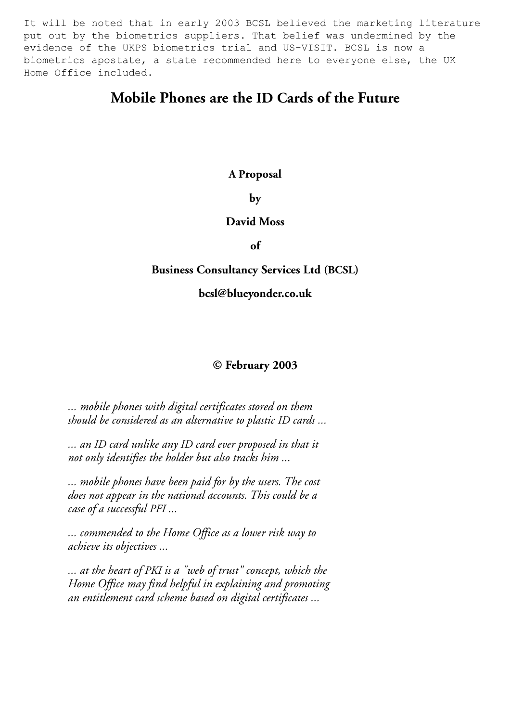put out by the biometrics suppliers. That belief was undermined by the It will be noted that in early 2003 BCSL believed the marketing literature evidence of the UKPS biometrics trial and US-VISIT. BCSL is now a biometrics apostate, a state recommended here to everyone else, the UK Home Office included.

### **Mobile Phones are the ID Cards of the Future**

### **A Proposal**

**by** 

### **David Moss**

**of** 

### **Business Consultancy Services Ltd (BCSL)**

#### **bcsl@blueyonder.co.uk**

### **© February 2003**

*... mobile phones with digital certificates stored on them should be considered as an alternative to plastic ID cards ...* 

*... an ID card unlike any ID card ever proposed in that it not only identifies the holder but also tracks him ...* 

*... mobile phones have been paid for by the users. The cost does not appear in the national accounts. This could be a case of a successful PFI ...* 

*... commended to the Home Office as a lower risk way to achieve its objectives ...* 

*... at the heart of PKI is a "web of trust" concept, which the Home Office may find helpful in explaining and promoting an entitlement card scheme based on digital certificates ...*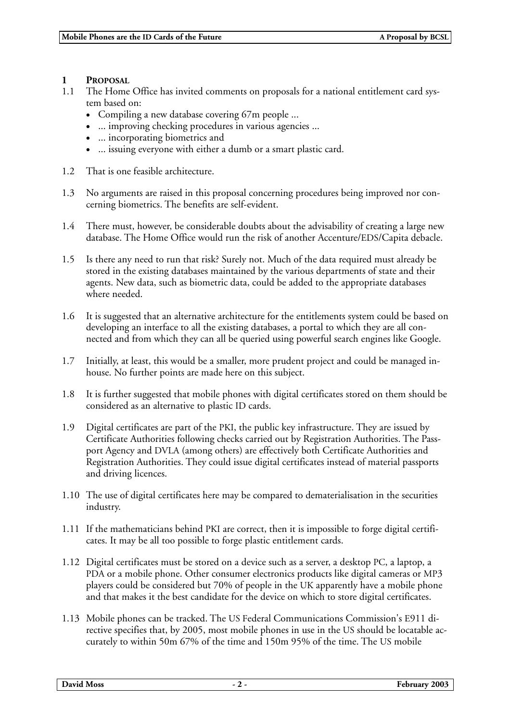## **1 PROPOSAL**

- The Home Office has invited comments on proposals for a national entitlement card system based on:
	- Compiling a new database covering 67m people ...
	- ... improving checking procedures in various agencies ...
	- ... incorporating biometrics and
	- ... issuing everyone with either a dumb or a smart plastic card.
- 1.2 That is one feasible architecture.
- 1.3 No arguments are raised in this proposal concerning procedures being improved nor concerning biometrics. The benefits are self-evident.
- 1.4 There must, however, be considerable doubts about the advisability of creating a large new database. The Home Office would run the risk of another Accenture/EDS/Capita debacle.
- 1.5 Is there any need to run that risk? Surely not. Much of the data required must already be stored in the existing databases maintained by the various departments of state and their agents. New data, such as biometric data, could be added to the appropriate databases where needed.
- 1.6 It is suggested that an alternative architecture for the entitlements system could be based on developing an interface to all the existing databases, a portal to which they are all connected and from which they can all be queried using powerful search engines like Google.
- 1.7 Initially, at least, this would be a smaller, more prudent project and could be managed inhouse. No further points are made here on this subject.
- 1.8 It is further suggested that mobile phones with digital certificates stored on them should be considered as an alternative to plastic ID cards.
- 1.9 Digital certificates are part of the PKI, the public key infrastructure. They are issued by Certificate Authorities following checks carried out by Registration Authorities. The Passport Agency and DVLA (among others) are effectively both Certificate Authorities and Registration Authorities. They could issue digital certificates instead of material passports and driving licences.
- 1.10 The use of digital certificates here may be compared to dematerialisation in the securities industry.
- 1.11 If the mathematicians behind PKI are correct, then it is impossible to forge digital certificates. It may be all too possible to forge plastic entitlement cards.
- 1.12 Digital certificates must be stored on a device such as a server, a desktop PC, a laptop, a PDA or a mobile phone. Other consumer electronics products like digital cameras or MP3 players could be considered but 70% of people in the UK apparently have a mobile phone and that makes it the best candidate for the device on which to store digital certificates.
- 1.13 Mobile phones can be tracked. The US Federal Communications Commission's E911 directive specifies that, by 2005, most mobile phones in use in the US should be locatable accurately to within 50m 67% of the time and 150m 95% of the time. The US mobile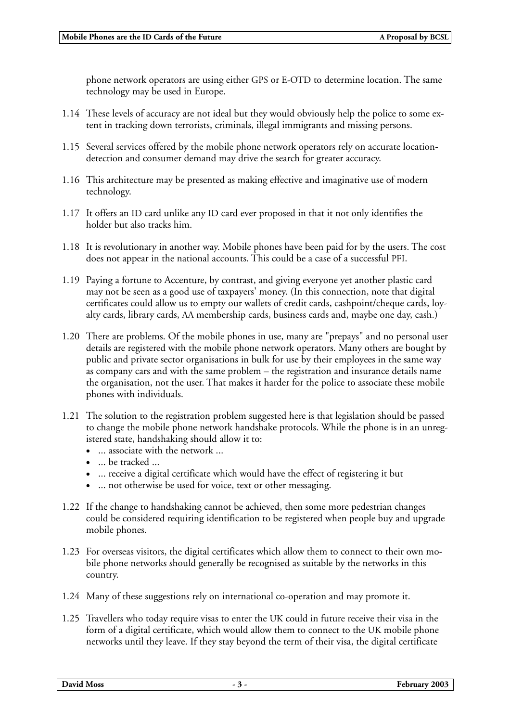phone network operators are using either GPS or E-OTD to determine location. The same technology may be used in Europe.

- 1.14 These levels of accuracy are not ideal but they would obviously help the police to some extent in tracking down terrorists, criminals, illegal immigrants and missing persons.
- 1.15 Several services offered by the mobile phone network operators rely on accurate locationdetection and consumer demand may drive the search for greater accuracy.
- 1.16 This architecture may be presented as making effective and imaginative use of modern technology.
- 1.17 It offers an ID card unlike any ID card ever proposed in that it not only identifies the holder but also tracks him.
- 1.18 It is revolutionary in another way. Mobile phones have been paid for by the users. The cost does not appear in the national accounts. This could be a case of a successful PFI.
- 1.19 Paying a fortune to Accenture, by contrast, and giving everyone yet another plastic card may not be seen as a good use of taxpayers' money. (In this connection, note that digital certificates could allow us to empty our wallets of credit cards, cashpoint/cheque cards, loyalty cards, library cards, AA membership cards, business cards and, maybe one day, cash.)
- 1.20 There are problems. Of the mobile phones in use, many are "prepays" and no personal user details are registered with the mobile phone network operators. Many others are bought by public and private sector organisations in bulk for use by their employees in the same way as company cars and with the same problem – the registration and insurance details name the organisation, not the user. That makes it harder for the police to associate these mobile phones with individuals.
- 1.21 The solution to the registration problem suggested here is that legislation should be passed to change the mobile phone network handshake protocols. While the phone is in an unregistered state, handshaking should allow it to:
	- ... associate with the network ...
	- ... be tracked ...
	- ... receive a digital certificate which would have the effect of registering it but
	- ... not otherwise be used for voice, text or other messaging.
- 1.22 If the change to handshaking cannot be achieved, then some more pedestrian changes could be considered requiring identification to be registered when people buy and upgrade mobile phones.
- 1.23 For overseas visitors, the digital certificates which allow them to connect to their own mobile phone networks should generally be recognised as suitable by the networks in this country.
- 1.24 Many of these suggestions rely on international co-operation and may promote it.
- 1.25 Travellers who today require visas to enter the UK could in future receive their visa in the form of a digital certificate, which would allow them to connect to the UK mobile phone networks until they leave. If they stay beyond the term of their visa, the digital certificate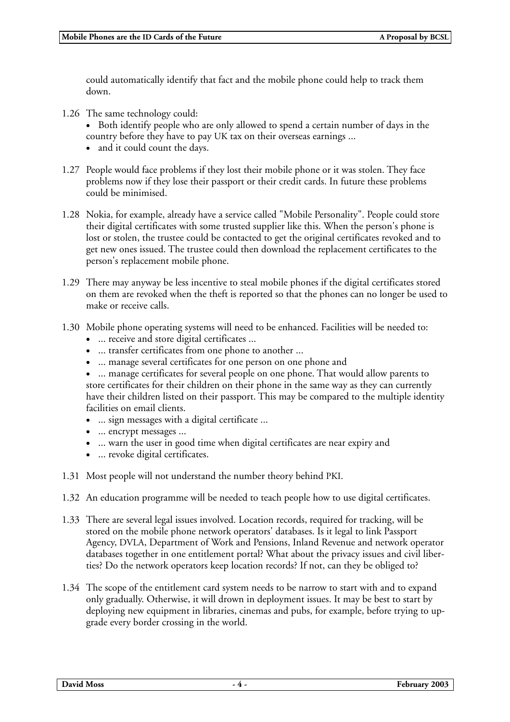could automatically identify that fact and the mobile phone could help to track them down.

1.26 The same technology could:

• Both identify people who are only allowed to spend a certain number of days in the country before they have to pay UK tax on their overseas earnings ...

- and it could count the days.
- 1.27 People would face problems if they lost their mobile phone or it was stolen. They face problems now if they lose their passport or their credit cards. In future these problems could be minimised.
- 1.28 Nokia, for example, already have a service called "Mobile Personality". People could store their digital certificates with some trusted supplier like this. When the person's phone is lost or stolen, the trustee could be contacted to get the original certificates revoked and to get new ones issued. The trustee could then download the replacement certificates to the person's replacement mobile phone.
- 1.29 There may anyway be less incentive to steal mobile phones if the digital certificates stored on them are revoked when the theft is reported so that the phones can no longer be used to make or receive calls.
- 1.30 Mobile phone operating systems will need to be enhanced. Facilities will be needed to:
	- ... receive and store digital certificates ...
	- ... transfer certificates from one phone to another ...
	- ... manage several certificates for one person on one phone and

• ... manage certificates for several people on one phone. That would allow parents to store certificates for their children on their phone in the same way as they can currently have their children listed on their passport. This may be compared to the multiple identity facilities on email clients.

- ... sign messages with a digital certificate ...
- ... encrypt messages ...
- ... warn the user in good time when digital certificates are near expiry and
- ... revoke digital certificates.
- 1.31 Most people will not understand the number theory behind PKI.
- 1.32 An education programme will be needed to teach people how to use digital certificates.
- 1.33 There are several legal issues involved. Location records, required for tracking, will be stored on the mobile phone network operators' databases. Is it legal to link Passport Agency, DVLA, Department of Work and Pensions, Inland Revenue and network operator databases together in one entitlement portal? What about the privacy issues and civil liberties? Do the network operators keep location records? If not, can they be obliged to?
- 1.34 The scope of the entitlement card system needs to be narrow to start with and to expand only gradually. Otherwise, it will drown in deployment issues. It may be best to start by deploying new equipment in libraries, cinemas and pubs, for example, before trying to upgrade every border crossing in the world.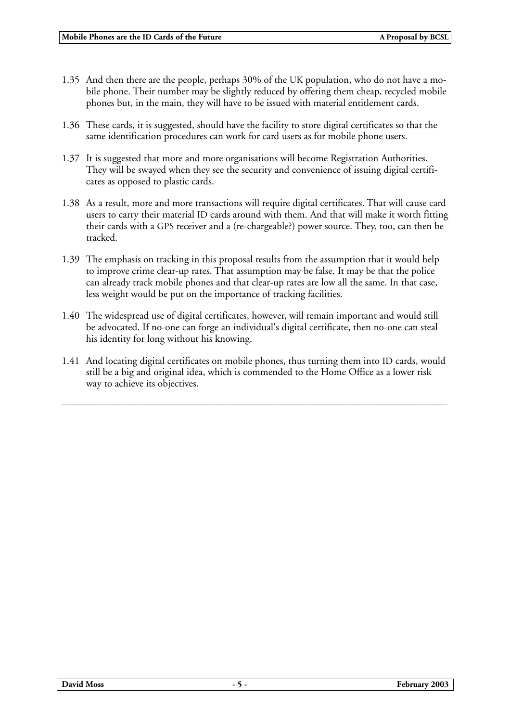- 1.35 And then there are the people, perhaps 30% of the UK population, who do not have a mobile phone. Their number may be slightly reduced by offering them cheap, recycled mobile phones but, in the main, they will have to be issued with material entitlement cards.
- 1.36 These cards, it is suggested, should have the facility to store digital certificates so that the same identification procedures can work for card users as for mobile phone users.
- 1.37 It is suggested that more and more organisations will become Registration Authorities. They will be swayed when they see the security and convenience of issuing digital certificates as opposed to plastic cards.
- 1.38 As a result, more and more transactions will require digital certificates. That will cause card users to carry their material ID cards around with them. And that will make it worth fitting their cards with a GPS receiver and a (re-chargeable?) power source. They, too, can then be tracked.
- 1.39 The emphasis on tracking in this proposal results from the assumption that it would help to improve crime clear-up rates. That assumption may be false. It may be that the police can already track mobile phones and that clear-up rates are low all the same. In that case, less weight would be put on the importance of tracking facilities.
- 1.40 The widespread use of digital certificates, however, will remain important and would still be advocated. If no-one can forge an individual's digital certificate, then no-one can steal his identity for long without his knowing.
- 1.41 And locating digital certificates on mobile phones, thus turning them into ID cards, would still be a big and original idea, which is commended to the Home Office as a lower risk way to achieve its objectives.

\_\_\_\_\_\_\_\_\_\_\_\_\_\_\_\_\_\_\_\_\_\_\_\_\_\_\_\_\_\_\_\_\_\_\_\_\_\_\_\_\_\_\_\_\_\_\_\_\_\_\_\_\_\_\_\_\_\_\_\_\_\_\_\_\_\_\_\_\_\_\_\_\_\_\_\_\_\_\_\_\_\_\_\_\_\_\_\_\_\_\_\_\_\_\_\_\_\_\_\_\_\_\_\_\_\_\_\_\_\_\_\_\_\_\_\_\_\_\_\_\_\_\_\_\_\_\_\_\_\_\_\_\_\_\_\_\_\_\_\_\_\_\_\_\_\_\_\_\_\_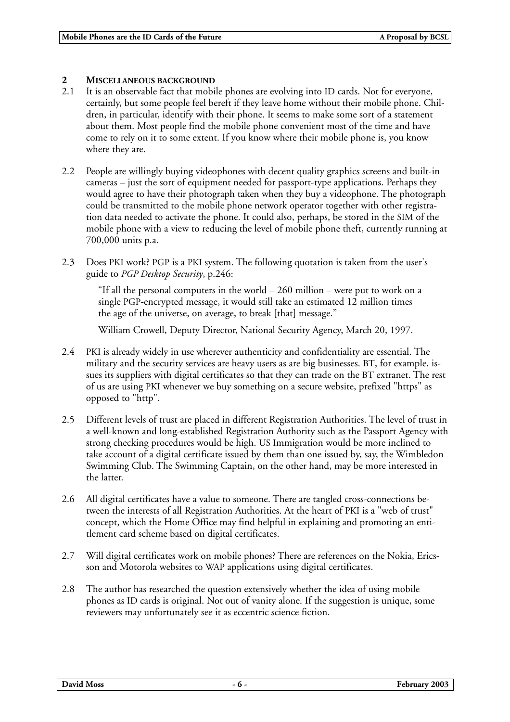# **2 MISCELLANEOUS BACKGROUND**<br>2.1 It is an observable fact that mobi

- It is an observable fact that mobile phones are evolving into ID cards. Not for everyone, certainly, but some people feel bereft if they leave home without their mobile phone. Children, in particular, identify with their phone. It seems to make some sort of a statement about them. Most people find the mobile phone convenient most of the time and have come to rely on it to some extent. If you know where their mobile phone is, you know where they are.
- 2.2 People are willingly buying videophones with decent quality graphics screens and built-in cameras – just the sort of equipment needed for passport-type applications. Perhaps they would agree to have their photograph taken when they buy a videophone. The photograph could be transmitted to the mobile phone network operator together with other registration data needed to activate the phone. It could also, perhaps, be stored in the SIM of the mobile phone with a view to reducing the level of mobile phone theft, currently running at 700,000 units p.a.
- 2.3 Does PKI work? PGP is a PKI system. The following quotation is taken from the user's guide to *PGP Desktop Security*, p.246:

"If all the personal computers in the world – 260 million – were put to work on a single PGP-encrypted message, it would still take an estimated 12 million times the age of the universe, on average, to break [that] message."

William Crowell, Deputy Director, National Security Agency, March 20, 1997.

- 2.4 PKI is already widely in use wherever authenticity and confidentiality are essential. The military and the security services are heavy users as are big businesses. BT, for example, issues its suppliers with digital certificates so that they can trade on the BT extranet. The rest of us are using PKI whenever we buy something on a secure website, prefixed "https" as opposed to "http".
- 2.5 Different levels of trust are placed in different Registration Authorities. The level of trust in a well-known and long-established Registration Authority such as the Passport Agency with strong checking procedures would be high. US Immigration would be more inclined to take account of a digital certificate issued by them than one issued by, say, the Wimbledon Swimming Club. The Swimming Captain, on the other hand, may be more interested in the latter.
- 2.6 All digital certificates have a value to someone. There are tangled cross-connections between the interests of all Registration Authorities. At the heart of PKI is a "web of trust" concept, which the Home Office may find helpful in explaining and promoting an entitlement card scheme based on digital certificates.
- 2.7 Will digital certificates work on mobile phones? There are references on the Nokia, Ericsson and Motorola websites to WAP applications using digital certificates.
- 2.8 The author has researched the question extensively whether the idea of using mobile phones as ID cards is original. Not out of vanity alone. If the suggestion is unique, some reviewers may unfortunately see it as eccentric science fiction.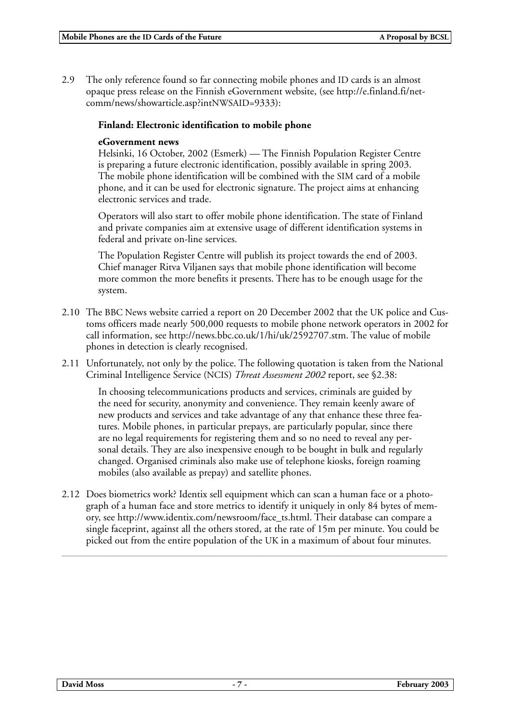2.9 The only reference found so far connecting mobile phones and ID cards is an almost opaque press release on the Finnish eGovernment website, (see http://e.finland.fi/netcomm/news/showarticle.asp?intNWSAID=9333):

### **Finland: Electronic identification to mobile phone**

### **eGovernment news**

Helsinki, 16 October, 2002 (Esmerk) — The Finnish Population Register Centre is preparing a future electronic identification, possibly available in spring 2003. The mobile phone identification will be combined with the SIM card of a mobile phone, and it can be used for electronic signature. The project aims at enhancing electronic services and trade.

Operators will also start to offer mobile phone identification. The state of Finland and private companies aim at extensive usage of different identification systems in federal and private on-line services.

The Population Register Centre will publish its project towards the end of 2003. Chief manager Ritva Viljanen says that mobile phone identification will become more common the more benefits it presents. There has to be enough usage for the system.

- 2.10 The BBC News website carried a report on 20 December 2002 that the UK police and Customs officers made nearly 500,000 requests to mobile phone network operators in 2002 for call information, see http://news.bbc.co.uk/1/hi/uk/2592707.stm. The value of mobile phones in detection is clearly recognised.
- 2.11 Unfortunately, not only by the police. The following quotation is taken from the National Criminal Intelligence Service (NCIS) *Threat Assessment 2002* report, see §2.38:

In choosing telecommunications products and services, criminals are guided by the need for security, anonymity and convenience. They remain keenly aware of new products and services and take advantage of any that enhance these three features. Mobile phones, in particular prepays, are particularly popular, since there are no legal requirements for registering them and so no need to reveal any personal details. They are also inexpensive enough to be bought in bulk and regularly changed. Organised criminals also make use of telephone kiosks, foreign roaming mobiles (also available as prepay) and satellite phones.

2.12 Does biometrics work? Identix sell equipment which can scan a human face or a photograph of a human face and store metrics to identify it uniquely in only 84 bytes of memory, see http://www.identix.com/newsroom/face\_ts.html. Their database can compare a single faceprint, against all the others stored, at the rate of 15m per minute. You could be picked out from the entire population of the UK in a maximum of about four minutes.

\_\_\_\_\_\_\_\_\_\_\_\_\_\_\_\_\_\_\_\_\_\_\_\_\_\_\_\_\_\_\_\_\_\_\_\_\_\_\_\_\_\_\_\_\_\_\_\_\_\_\_\_\_\_\_\_\_\_\_\_\_\_\_\_\_\_\_\_\_\_\_\_\_\_\_\_\_\_\_\_\_\_\_\_\_\_\_\_\_\_\_\_\_\_\_\_\_\_\_\_\_\_\_\_\_\_\_\_\_\_\_\_\_\_\_\_\_\_\_\_\_\_\_\_\_\_\_\_\_\_\_\_\_\_\_\_\_\_\_\_\_\_\_\_\_\_\_\_\_\_